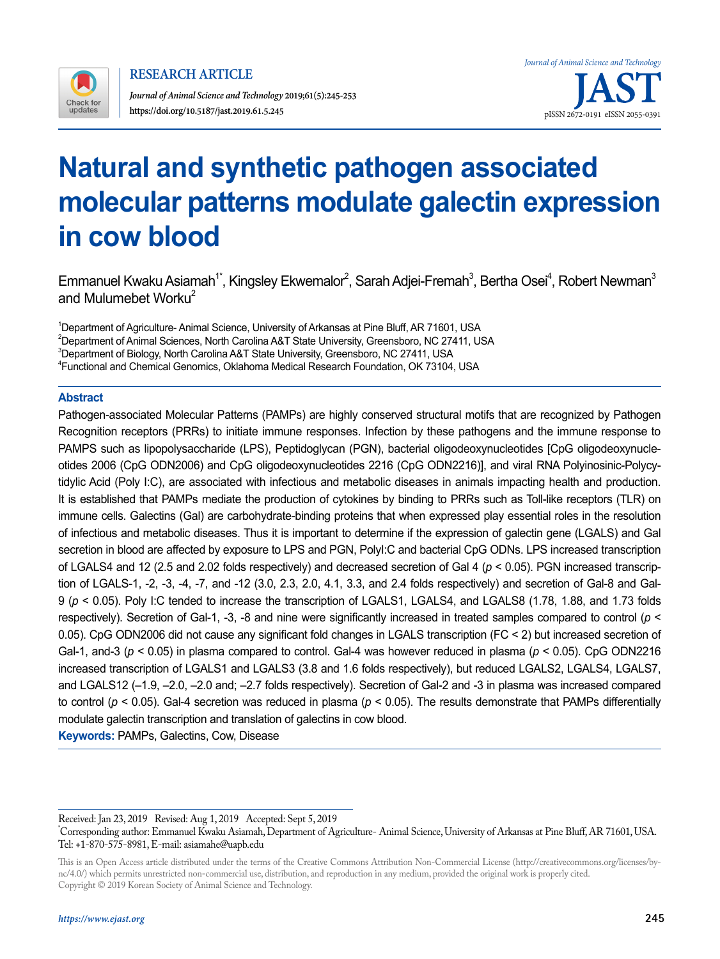

**RESEARCH ARTICLE**

*Journal of Animal Science and Technology* **2019;61(5):245-253 https://doi.org/10.5187/jast.2019.61.5.245** pISSN 2672-0191 eISSN 2675-039

# **Natural and synthetic pathogen associated molecular patterns modulate galectin expression in cow blood**

Emmanuel Kwaku Asiamah $^{\text{\tiny{\textsf{1}}}^*}$ , Kingsley Ekwemalor $^2$ , Sarah Adjei-Fremah $^3$ , Bertha Osei $^4$ , Robert Newman $^3$ and Mulumebet Worku<sup>2</sup>

<sup>1</sup>Department of Agriculture- Animal Science, University of Arkansas at Pine Bluff, AR 71601, USA  $^2$ Department of Animal Sciences, North Carolina A&T State University, Greensboro, NC 27411, USA  $^3$ Department of Biology, North Carolina A&T State University, Greensboro, NC 27411, USA

4 Functional and Chemical Genomics, Oklahoma Medical Research Foundation, OK 73104, USA

#### **Abstract**

Pathogen-associated Molecular Patterns (PAMPs) are highly conserved structural motifs that are recognized by Pathogen Recognition receptors (PRRs) to initiate immune responses. Infection by these pathogens and the immune response to PAMPS such as lipopolysaccharide (LPS), Peptidoglycan (PGN), bacterial oligodeoxynucleotides [CpG oligodeoxynucleotides 2006 (CpG ODN2006) and CpG oligodeoxynucleotides 2216 (CpG ODN2216)], and viral RNA Polyinosinic-Polycytidylic Acid (Poly I:C), are associated with infectious and metabolic diseases in animals impacting health and production. It is established that PAMPs mediate the production of cytokines by binding to PRRs such as Toll-like receptors (TLR) on immune cells. Galectins (Gal) are carbohydrate-binding proteins that when expressed play essential roles in the resolution of infectious and metabolic diseases. Thus it is important to determine if the expression of galectin gene (LGALS) and Gal secretion in blood are affected by exposure to LPS and PGN, PolyI:C and bacterial CpG ODNs. LPS increased transcription of LGALS4 and 12 (2.5 and 2.02 folds respectively) and decreased secretion of Gal 4 (*p* < 0.05). PGN increased transcription of LGALS-1, -2, -3, -4, -7, and -12 (3.0, 2.3, 2.0, 4.1, 3.3, and 2.4 folds respectively) and secretion of Gal-8 and Gal-9 (*p* < 0.05). Poly I:C tended to increase the transcription of LGALS1, LGALS4, and LGALS8 (1.78, 1.88, and 1.73 folds respectively). Secretion of Gal-1, -3, -8 and nine were significantly increased in treated samples compared to control (*p* < 0.05). CpG ODN2006 did not cause any significant fold changes in LGALS transcription (FC < 2) but increased secretion of Gal-1, and-3 (*p* < 0.05) in plasma compared to control. Gal-4 was however reduced in plasma (*p* < 0.05). CpG ODN2216 increased transcription of LGALS1 and LGALS3 (3.8 and 1.6 folds respectively), but reduced LGALS2, LGALS4, LGALS7, and LGALS12 (–1.9, –2.0, –2.0 and; –2.7 folds respectively). Secretion of Gal-2 and -3 in plasma was increased compared to control (*p* < 0.05). Gal-4 secretion was reduced in plasma (*p* < 0.05). The results demonstrate that PAMPs differentially modulate galectin transcription and translation of galectins in cow blood. **Keywords:** PAMPs, Galectins, Cow, Disease

Received: Jan 23, 2019 Revised: Aug 1, 2019 Accepted: Sept 5, 2019

<sup>\*</sup> Corresponding author: Emmanuel Kwaku Asiamah, Department of Agriculture- Animal Science, University of Arkansas at Pine Bluff, AR 71601, USA. Tel: +1-870-575-8981, E-mail: asiamahe@uapb.edu

This is an Open Access article distributed under the terms of the Creative Commons Attribution Non-Commercial License ([http://creativecommons.org/licenses/by](http://creativecommons.org/licenses/by-nc/4.0/)[nc/4.0/\)](http://creativecommons.org/licenses/by-nc/4.0/) which permits unrestricted non-commercial use, distribution, and reproduction in any medium, provided the original work is properly cited. Copyright © 2019 Korean Society of Animal Science and Technology.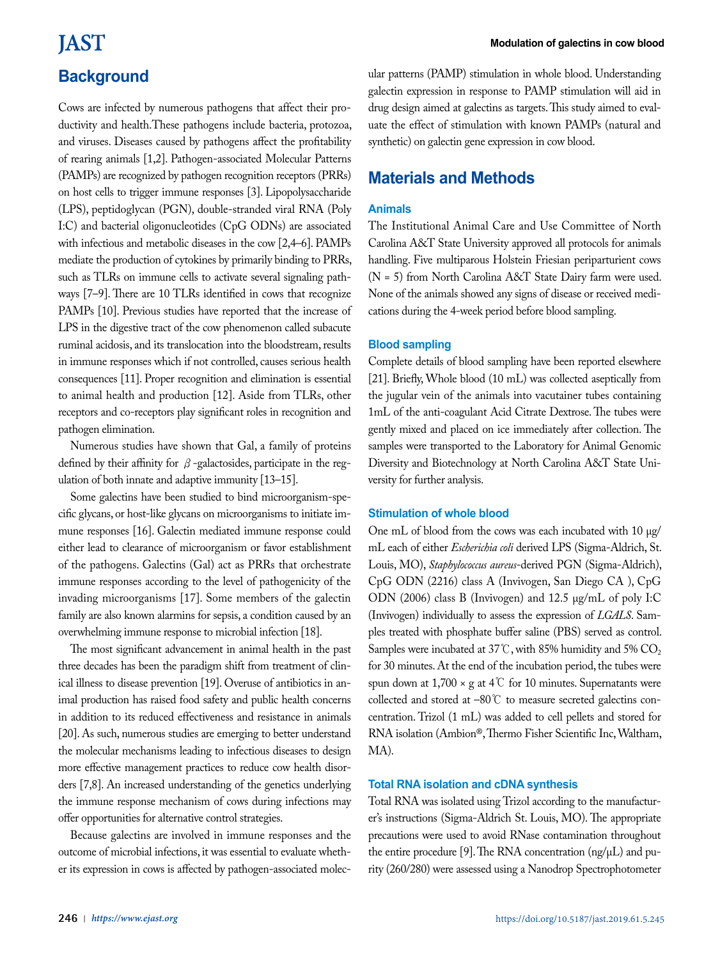## **Background**

Cows are infected by numerous pathogens that affect their productivity and health.These pathogens include bacteria, protozoa, and viruses. Diseases caused by pathogens affect the profitability of rearing animals [1,2]. Pathogen-associated Molecular Patterns (PAMPs) are recognized by pathogen recognition receptors (PRRs) on host cells to trigger immune responses [3]. Lipopolysaccharide (LPS), peptidoglycan (PGN), double-stranded viral RNA (Poly I:C) and bacterial oligonucleotides (CpG ODNs) are associated with infectious and metabolic diseases in the cow [2,4–6]. PAMPs mediate the production of cytokines by primarily binding to PRRs, such as TLRs on immune cells to activate several signaling pathways [7–9]. There are 10 TLRs identified in cows that recognize PAMPs [10]. Previous studies have reported that the increase of LPS in the digestive tract of the cow phenomenon called subacute ruminal acidosis, and its translocation into the bloodstream, results in immune responses which if not controlled, causes serious health consequences [11]. Proper recognition and elimination is essential to animal health and production [12]. Aside from TLRs, other receptors and co-receptors play significant roles in recognition and pathogen elimination.

Numerous studies have shown that Gal, a family of proteins defined by their affinity for  $\beta$ -galactosides, participate in the regulation of both innate and adaptive immunity [13–15].

Some galectins have been studied to bind microorganism‐specific glycans, or host‐like glycans on microorganisms to initiate immune responses [16]. Galectin mediated immune response could either lead to clearance of microorganism or favor establishment of the pathogens. Galectins (Gal) act as PRRs that orchestrate immune responses according to the level of pathogenicity of the invading microorganisms [17]. Some members of the galectin family are also known alarmins for sepsis, a condition caused by an overwhelming immune response to microbial infection [18].

The most significant advancement in animal health in the past three decades has been the paradigm shift from treatment of clinical illness to disease prevention [19]. Overuse of antibiotics in animal production has raised food safety and public health concerns in addition to its reduced effectiveness and resistance in animals [20]. As such, numerous studies are emerging to better understand the molecular mechanisms leading to infectious diseases to design more effective management practices to reduce cow health disorders [7,8]. An increased understanding of the genetics underlying the immune response mechanism of cows during infections may offer opportunities for alternative control strategies.

Because galectins are involved in immune responses and the outcome of microbial infections, it was essential to evaluate whether its expression in cows is affected by pathogen-associated molecular patterns (PAMP) stimulation in whole blood. Understanding galectin expression in response to PAMP stimulation will aid in drug design aimed at galectins as targets. This study aimed to evaluate the effect of stimulation with known PAMPs (natural and synthetic) on galectin gene expression in cow blood.

### **Materials and Methods**

#### **Animals**

The Institutional Animal Care and Use Committee of North Carolina A&T State University approved all protocols for animals handling. Five multiparous Holstein Friesian periparturient cows (N = 5) from North Carolina A&T State Dairy farm were used. None of the animals showed any signs of disease or received medications during the 4-week period before blood sampling.

#### **Blood sampling**

Complete details of blood sampling have been reported elsewhere [21]. Briefly, Whole blood (10 mL) was collected aseptically from the jugular vein of the animals into vacutainer tubes containing 1mL of the anti-coagulant Acid Citrate Dextrose. The tubes were gently mixed and placed on ice immediately after collection. The samples were transported to the Laboratory for Animal Genomic Diversity and Biotechnology at North Carolina A&T State University for further analysis.

#### **Stimulation of whole blood**

One mL of blood from the cows was each incubated with 10 µg/ mL each of either *Escherichia coli* derived LPS (Sigma-Aldrich, St. Louis, MO), *Staphylococcus aureus*-derived PGN (Sigma-Aldrich), CpG ODN (2216) class A (Invivogen, San Diego CA ), CpG ODN (2006) class B (Invivogen) and 12.5 µg/mL of poly I:C (Invivogen) individually to assess the expression of *LGALS*. Samples treated with phosphate buffer saline (PBS) served as control. Samples were incubated at 37°C, with 85% humidity and 5%  $CO<sub>2</sub>$ for 30 minutes. At the end of the incubation period, the tubes were spun down at  $1,700 \times g$  at 4°C for 10 minutes. Supernatants were collected and stored at –80℃ to measure secreted galectins concentration. Trizol (1 mL) was added to cell pellets and stored for RNA isolation (Ambion®, Thermo Fisher Scientific Inc, Waltham, MA).

#### **Total RNA isolation and cDNA synthesis**

Total RNA was isolated using Trizol according to the manufacturer's instructions (Sigma-Aldrich St. Louis, MO). The appropriate precautions were used to avoid RNase contamination throughout the entire procedure [9]. The RNA concentration  $(ng/µL)$  and purity (260/280) were assessed using a Nanodrop Spectrophotometer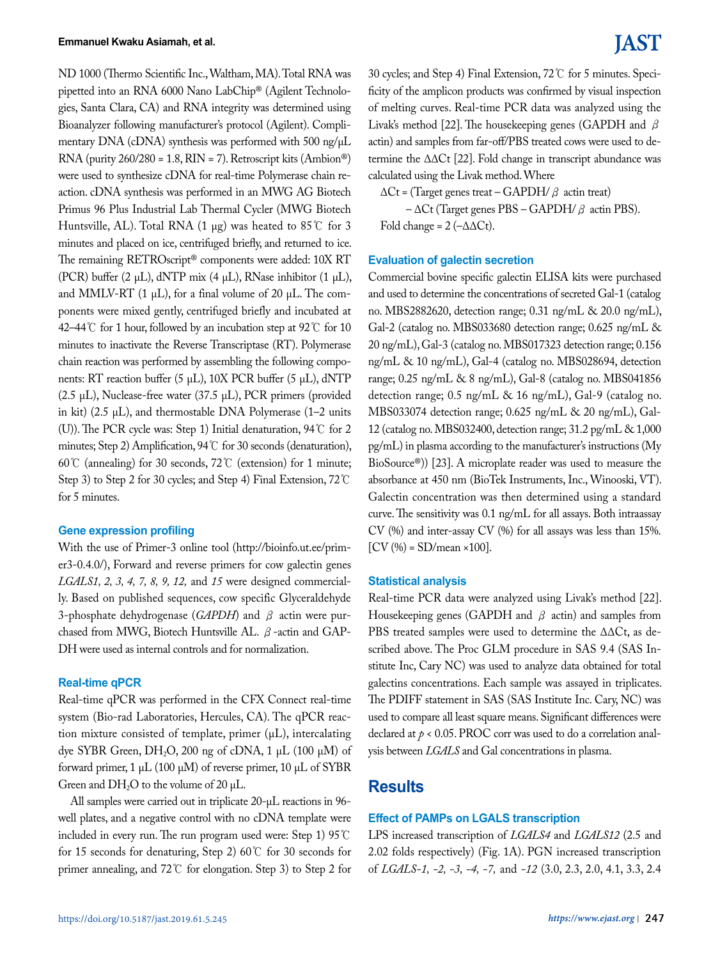#### **Emmanuel Kwaku Asiamah, et al.**

ND 1000 (Thermo Scientific Inc., Waltham, MA). Total RNA was pipetted into an RNA 6000 Nano LabChip® (Agilent Technologies, Santa Clara, CA) and RNA integrity was determined using Bioanalyzer following manufacturer's protocol (Agilent). Complimentary DNA (cDNA) synthesis was performed with 500 ng/ $\mu$ L RNA (purity  $260/280 = 1.8$ , RIN = 7). Retroscript kits (Ambion<sup>®</sup>) were used to synthesize cDNA for real-time Polymerase chain reaction. cDNA synthesis was performed in an MWG AG Biotech Primus 96 Plus Industrial Lab Thermal Cycler (MWG Biotech Huntsville, AL). Total RNA (1 µg) was heated to 85°C for 3 minutes and placed on ice, centrifuged briefly, and returned to ice. The remaining RETROscript® components were added: 10X RT (PCR) buffer (2  $\mu$ L), dNTP mix (4  $\mu$ L), RNase inhibitor (1  $\mu$ L), and MMLV-RT (1  $\mu$ L), for a final volume of 20  $\mu$ L. The components were mixed gently, centrifuged briefly and incubated at 42–44℃ for 1 hour, followed by an incubation step at 92℃ for 10 minutes to inactivate the Reverse Transcriptase (RT). Polymerase chain reaction was performed by assembling the following components: RT reaction buffer (5 µL), 10X PCR buffer (5 µL), dNTP ( $2.5 \mu L$ ), Nuclease-free water ( $37.5 \mu L$ ), PCR primers (provided in kit) (2.5  $\mu$ L), and thermostable DNA Polymerase (1–2 units (U)). The PCR cycle was: Step 1) Initial denaturation, 94℃ for 2 minutes; Step 2) Amplification, 94℃ for 30 seconds (denaturation), 60℃ (annealing) for 30 seconds, 72℃ (extension) for 1 minute; Step 3) to Step 2 for 30 cycles; and Step 4) Final Extension, 72℃ for 5 minutes.

#### **Gene expression profiling**

With the use of Primer-3 online tool [\(http://bioinfo.ut.ee/prim](http://bioinfo.ut.ee/primer3-0.4.0/)[er3-0.4.0/\)](http://bioinfo.ut.ee/primer3-0.4.0/), Forward and reverse primers for cow galectin genes *LGALS1, 2, 3, 4, 7, 8, 9, 12,* and *15* were designed commercially. Based on published sequences, cow specific Glyceraldehyde 3-phosphate dehydrogenase (*GAPDH*) and β actin were purchased from MWG, Biotech Huntsville AL. β-actin and GAP-DH were used as internal controls and for normalization.

#### **Real-time qPCR**

Real-time qPCR was performed in the CFX Connect real-time system (Bio-rad Laboratories, Hercules, CA). The qPCR reaction mixture consisted of template, primer (µL), intercalating dye SYBR Green, DH<sub>2</sub>O, 200 ng of cDNA, 1 µL (100 µM) of forward primer, 1 µL (100 µM) of reverse primer, 10 µL of SYBR Green and  $DH_2O$  to the volume of 20  $\mu$ L.

All samples were carried out in triplicate 20-µL reactions in 96 well plates, and a negative control with no cDNA template were included in every run. The run program used were: Step 1) 95℃ for 15 seconds for denaturing, Step 2) 60℃ for 30 seconds for primer annealing, and 72℃ for elongation. Step 3) to Step 2 for 30 cycles; and Step 4) Final Extension, 72℃ for 5 minutes. Specificity of the amplicon products was confirmed by visual inspection of melting curves. Real-time PCR data was analyzed using the Livak's method [22]. The housekeeping genes (GAPDH and  $\beta$ actin) and samples from far-off/PBS treated cows were used to determine the ΔΔCt [22]. Fold change in transcript abundance was calculated using the Livak method. Where

 $\Delta$ Ct = (Target genes treat – GAPDH/ $\beta$  actin treat)

– ΔCt (Target genes PBS – GAPDH/β actin PBS). Fold change =  $2$  ( $-\Delta\Delta$ Ct).

#### **Evaluation of galectin secretion**

Commercial bovine specific galectin ELISA kits were purchased and used to determine the concentrations of secreted Gal-1 (catalog no. MBS2882620, detection range; 0.31 ng/mL & 20.0 ng/mL), Gal-2 (catalog no. MBS033680 detection range; 0.625 ng/mL & 20 ng/mL), Gal-3 (catalog no. MBS017323 detection range; 0.156 ng/mL & 10 ng/mL), Gal-4 (catalog no. MBS028694, detection range; 0.25 ng/mL & 8 ng/mL), Gal-8 (catalog no. MBS041856 detection range; 0.5 ng/mL & 16 ng/mL), Gal-9 (catalog no. MBS033074 detection range; 0.625 ng/mL & 20 ng/mL), Gal-12 (catalog no. MBS032400, detection range; 31.2 pg/mL & 1,000 pg/mL) in plasma according to the manufacturer's instructions (My BioSource®)) [23]. A microplate reader was used to measure the absorbance at 450 nm (BioTek Instruments, Inc., Winooski, VT). Galectin concentration was then determined using a standard curve. The sensitivity was 0.1 ng/mL for all assays. Both intraassay CV (%) and inter-assay CV (%) for all assays was less than 15%.  $[CV(%) = SD/mean \times 100].$ 

#### **Statistical analysis**

Real-time PCR data were analyzed using Livak's method [22]. Housekeeping genes (GAPDH and  $\beta$  actin) and samples from PBS treated samples were used to determine the ΔΔCt, as described above. The Proc GLM procedure in SAS 9.4 (SAS Institute Inc, Cary NC) was used to analyze data obtained for total galectins concentrations. Each sample was assayed in triplicates. The PDIFF statement in SAS (SAS Institute Inc. Cary, NC) was used to compare all least square means. Significant differences were declared at  $p < 0.05$ . PROC corr was used to do a correlation analysis between *LGALS* and Gal concentrations in plasma.

#### **Results**

#### **Effect of PAMPs on LGALS transcription**

LPS increased transcription of *LGALS4* and *LGALS12* (2.5 and 2.02 folds respectively) (Fig. 1A). PGN increased transcription of *LGALS-1, -2, -3, -4, -7,* and *-12* (3.0, 2.3, 2.0, 4.1, 3.3, 2.4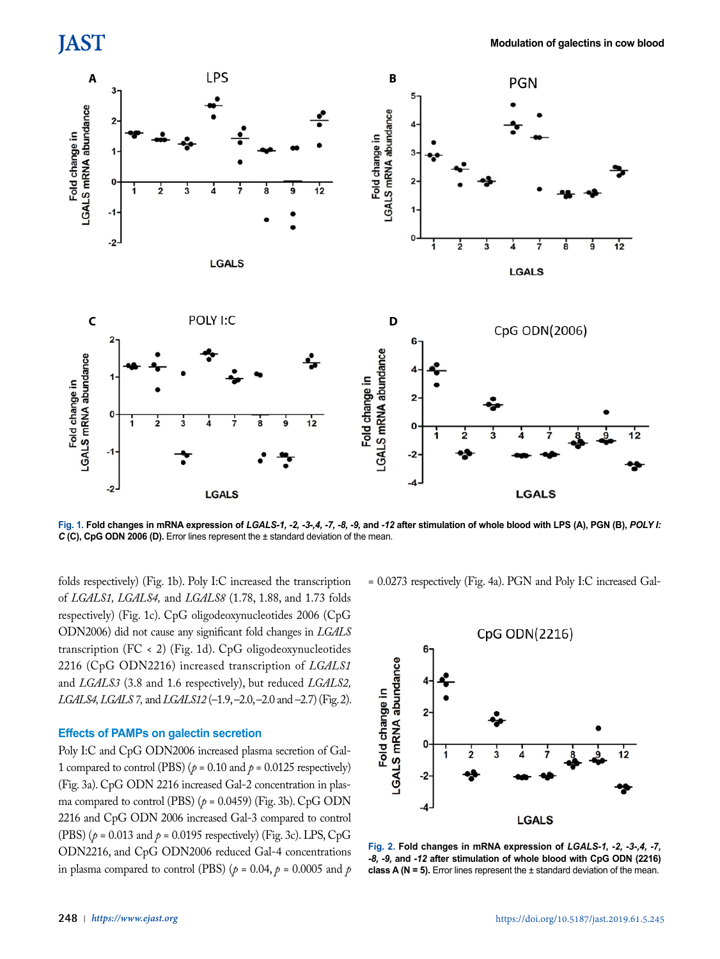

**Fig. 1. Fold changes in mRNA expression of** *LGALS-1, -2, -3-,4, -7, -8, -9,* **and** *-12* **after stimulation of whole blood with LPS (A), PGN (B),** *POLY I: C* **(C), CpG ODN 2006 (D).** Error lines represent the ± standard deviation of the mean.

folds respectively) (Fig. 1b). Poly I:C increased the transcription of *LGALS1, LGALS4,* and *LGALS8* (1.78, 1.88, and 1.73 folds respectively) (Fig. 1c). CpG oligodeoxynucleotides 2006 (CpG ODN2006) did not cause any significant fold changes in *LGALS* transcription (FC < 2) (Fig. 1d). CpG oligodeoxynucleotides 2216 (CpG ODN2216) increased transcription of *LGALS1* and *LGALS3* (3.8 and 1.6 respectively), but reduced *LGALS2, LGALS4, LGALS 7,* and *LGALS12* (–1.9, –2.0, –2.0 and –2.7) (Fig. 2).

#### **Effects of PAMPs on galectin secretion**

Poly I:C and CpG ODN2006 increased plasma secretion of Gal-1 compared to control (PBS) ( $p = 0.10$  and  $p = 0.0125$  respectively) (Fig. 3a). CpG ODN 2216 increased Gal-2 concentration in plasma compared to control (PBS)  $(p = 0.0459)$  (Fig. 3b). CpG ODN 2216 and CpG ODN 2006 increased Gal-3 compared to control (PBS) (*p* = 0.013 and *p* = 0.0195 respectively) (Fig. 3c). LPS, CpG ODN2216, and CpG ODN2006 reduced Gal-4 concentrations in plasma compared to control (PBS) ( $p = 0.04$ ,  $p = 0.0005$  and  $p$  = 0.0273 respectively (Fig. 4a). PGN and Poly I:C increased Gal-



**Fig. 2. Fold changes in mRNA expression of** *LGALS-1, -2, -3-,4, -7, -8, -9,* **and** *-12* **after stimulation of whole blood with CpG ODN (2216) class A (N = 5).** Error lines represent the ± standard deviation of the mean.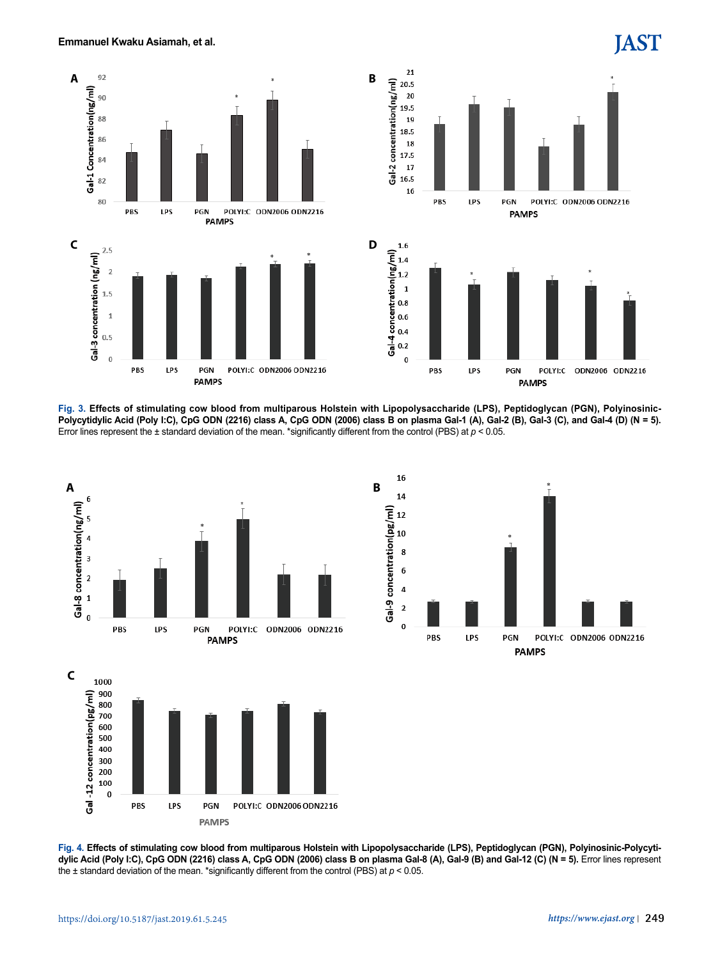

**Fig. 3. Effects of stimulating cow blood from multiparous Holstein with Lipopolysaccharide (LPS), Peptidoglycan (PGN), Polyinosinic-Polycytidylic Acid (Poly I:C), CpG ODN (2216) class A, CpG ODN (2006) class B on plasma Gal-1 (A), Gal-2 (B), Gal-3 (C), and Gal-4 (D) (N = 5).**  Error lines represent the ± standard deviation of the mean. \*significantly different from the control (PBS) at *p* < 0.05.





**Fig. 4. Effects of stimulating cow blood from multiparous Holstein with Lipopolysaccharide (LPS), Peptidoglycan (PGN), Polyinosinic-Polycytidylic Acid (Poly I:C), CpG ODN (2216) class A, CpG ODN (2006) class B on plasma Gal-8 (A), Gal-9 (B) and Gal-12 (C) (N = 5).** Error lines represent the ± standard deviation of the mean. \*significantly different from the control (PBS) at *p* < 0.05.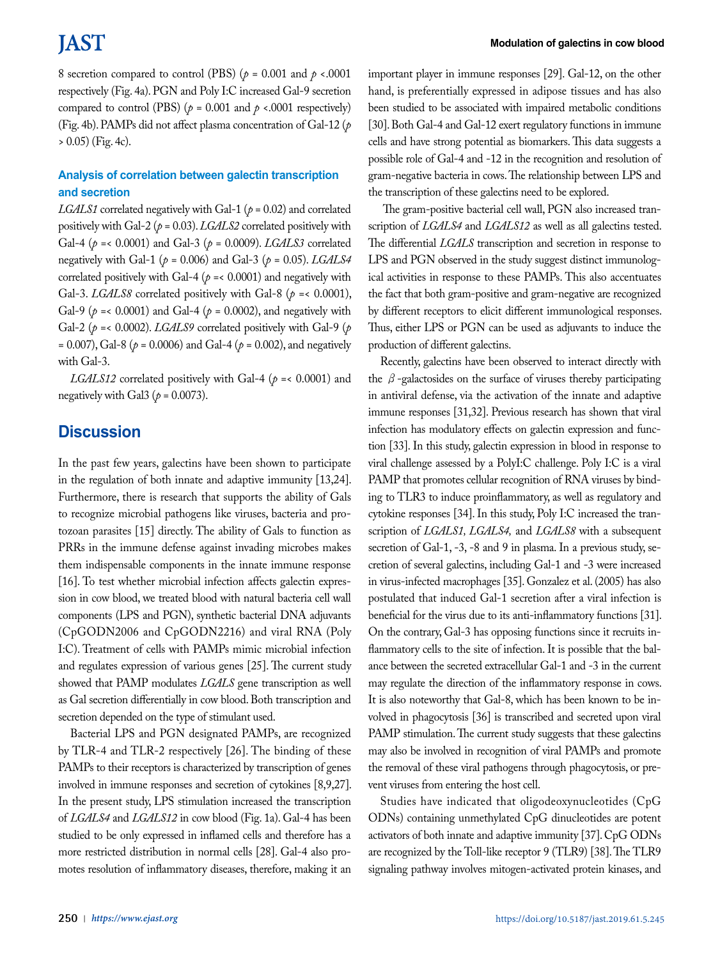8 secretion compared to control (PBS) ( $p = 0.001$  and  $p < 0.001$ respectively (Fig. 4a). PGN and Poly I:C increased Gal-9 secretion compared to control (PBS) ( $p = 0.001$  and  $p \le 0.001$  respectively) (Fig. 4b). PAMPs did not affect plasma concentration of Gal-12 (*p*  $> 0.05$ ) (Fig. 4c).

#### **Analysis of correlation between galectin transcription and secretion**

*LGALS1* correlated negatively with Gal-1 ( $p = 0.02$ ) and correlated positively with Gal-2 (*p* = 0.03). *LGALS2* correlated positively with Gal-4 (*p* =< 0.0001) and Gal-3 (*p* = 0.0009). *LGALS3* correlated negatively with Gal-1 (*p* = 0.006) and Gal-3 (*p* = 0.05). *LGALS4* correlated positively with Gal-4 ( $p = 0.0001$ ) and negatively with Gal-3. *LGALS8* correlated positively with Gal-8 ( $p = 0.0001$ ), Gal-9 ( $p = 0.0001$ ) and Gal-4 ( $p = 0.0002$ ), and negatively with Gal-2 (*p* =< 0.0002). *LGALS9* correlated positively with Gal-9 (*p* = 0.007), Gal-8 ( $p$  = 0.0006) and Gal-4 ( $p$  = 0.002), and negatively with Gal-3.

*LGALS12* correlated positively with Gal-4 ( $p = 0.0001$ ) and negatively with Gal3 ( $p = 0.0073$ ).

### **Discussion**

In the past few years, galectins have been shown to participate in the regulation of both innate and adaptive immunity [13,24]. Furthermore, there is research that supports the ability of Gals to recognize microbial pathogens like viruses, bacteria and protozoan parasites [15] directly. The ability of Gals to function as PRRs in the immune defense against invading microbes makes them indispensable components in the innate immune response [16]. To test whether microbial infection affects galectin expression in cow blood, we treated blood with natural bacteria cell wall components (LPS and PGN), synthetic bacterial DNA adjuvants (CpGODN2006 and CpGODN2216) and viral RNA (Poly I:C). Treatment of cells with PAMPs mimic microbial infection and regulates expression of various genes [25]. The current study showed that PAMP modulates *LGALS* gene transcription as well as Gal secretion differentially in cow blood. Both transcription and secretion depended on the type of stimulant used.

Bacterial LPS and PGN designated PAMPs, are recognized by TLR-4 and TLR-2 respectively [26]. The binding of these PAMPs to their receptors is characterized by transcription of genes involved in immune responses and secretion of cytokines [8,9,27]. In the present study, LPS stimulation increased the transcription of *LGALS4* and *LGALS12* in cow blood (Fig. 1a). Gal-4 has been studied to be only expressed in inflamed cells and therefore has a more restricted distribution in normal cells [28]. Gal-4 also promotes resolution of inflammatory diseases, therefore, making it an important player in immune responses [29]. Gal-12, on the other hand, is preferentially expressed in adipose tissues and has also been studied to be associated with impaired metabolic conditions [30]. Both Gal-4 and Gal-12 exert regulatory functions in immune cells and have strong potential as biomarkers. This data suggests a possible role of Gal-4 and -12 in the recognition and resolution of gram-negative bacteria in cows. The relationship between LPS and the transcription of these galectins need to be explored.

 The gram-positive bacterial cell wall, PGN also increased transcription of *LGALS4* and *LGALS12* as well as all galectins tested. The differential *LGALS* transcription and secretion in response to LPS and PGN observed in the study suggest distinct immunological activities in response to these PAMPs. This also accentuates the fact that both gram-positive and gram-negative are recognized by different receptors to elicit different immunological responses. Thus, either LPS or PGN can be used as adjuvants to induce the production of different galectins.

Recently, galectins have been observed to interact directly with the  $\beta$ -galactosides on the surface of viruses thereby participating in antiviral defense, via the activation of the innate and adaptive immune responses [31,32]. Previous research has shown that viral infection has modulatory effects on galectin expression and function [33]. In this study, galectin expression in blood in response to viral challenge assessed by a PolyI:C challenge. Poly I:C is a viral PAMP that promotes cellular recognition of RNA viruses by binding to TLR3 to induce proinflammatory, as well as regulatory and cytokine responses [34]. In this study, Poly I:C increased the transcription of *LGALS1, LGALS4,* and *LGALS8* with a subsequent secretion of Gal-1, -3, -8 and 9 in plasma. In a previous study, secretion of several galectins, including Gal-1 and -3 were increased in virus-infected macrophages [35]. Gonzalez et al. (2005) has also postulated that induced Gal-1 secretion after a viral infection is beneficial for the virus due to its anti-inflammatory functions [31]. On the contrary, Gal-3 has opposing functions since it recruits inflammatory cells to the site of infection. It is possible that the balance between the secreted extracellular Gal-1 and -3 in the current may regulate the direction of the inflammatory response in cows. It is also noteworthy that Gal-8, which has been known to be involved in phagocytosis [36] is transcribed and secreted upon viral PAMP stimulation. The current study suggests that these galectins may also be involved in recognition of viral PAMPs and promote the removal of these viral pathogens through phagocytosis, or prevent viruses from entering the host cell.

Studies have indicated that oligodeoxynucleotides (CpG ODNs) containing unmethylated CpG dinucleotides are potent activators of both innate and adaptive immunity [37]. CpG ODNs are recognized by the Toll-like receptor 9 (TLR9) [38]. The TLR9 signaling pathway involves mitogen‐activated protein kinases, and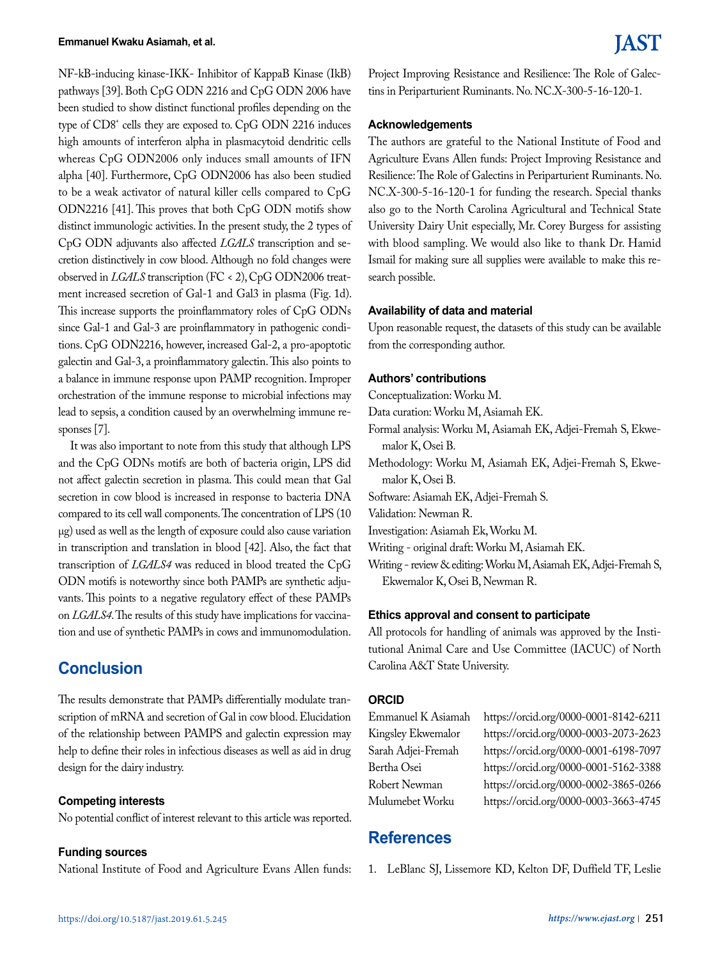#### **Emmanuel Kwaku Asiamah, et al.**

NF‐kB‐inducing kinase‐IKK‐ Inhibitor of KappaB Kinase (IkB) pathways [39]. Both CpG ODN 2216 and CpG ODN 2006 have been studied to show distinct functional profiles depending on the type of CD8+ cells they are exposed to. CpG ODN 2216 induces high amounts of interferon alpha in plasmacytoid dendritic cells whereas CpG ODN2006 only induces small amounts of IFN alpha [40]. Furthermore, CpG ODN2006 has also been studied to be a weak activator of natural killer cells compared to CpG ODN2216 [41]. This proves that both CpG ODN motifs show distinct immunologic activities. In the present study, the 2 types of CpG ODN adjuvants also affected *LGALS* transcription and secretion distinctively in cow blood. Although no fold changes were observed in *LGALS* transcription (FC < 2), CpG ODN2006 treatment increased secretion of Gal-1 and Gal3 in plasma (Fig. 1d). This increase supports the proinflammatory roles of CpG ODNs since Gal-1 and Gal-3 are proinflammatory in pathogenic conditions. CpG ODN2216, however, increased Gal-2, a pro-apoptotic galectin and Gal-3, a proinflammatory galectin. This also points to a balance in immune response upon PAMP recognition. Improper orchestration of the immune response to microbial infections may lead to sepsis, a condition caused by an overwhelming immune responses [7].

It was also important to note from this study that although LPS and the CpG ODNs motifs are both of bacteria origin, LPS did not affect galectin secretion in plasma. This could mean that Gal secretion in cow blood is increased in response to bacteria DNA compared to its cell wall components. The concentration of LPS (10 µg) used as well as the length of exposure could also cause variation in transcription and translation in blood [42]. Also, the fact that transcription of *LGALS4* was reduced in blood treated the CpG ODN motifs is noteworthy since both PAMPs are synthetic adjuvants. This points to a negative regulatory effect of these PAMPs on *LGALS4*. The results of this study have implications for vaccination and use of synthetic PAMPs in cows and immunomodulation.

### **Conclusion**

The results demonstrate that PAMPs differentially modulate transcription of mRNA and secretion of Gal in cow blood. Elucidation of the relationship between PAMPS and galectin expression may help to define their roles in infectious diseases as well as aid in drug design for the dairy industry.

#### **Competing interests**

No potential conflict of interest relevant to this article was reported.

#### **Funding sources**

National Institute of Food and Agriculture Evans Allen funds:

Project Improving Resistance and Resilience: The Role of Galectins in Periparturient Ruminants. No. NC.X-300-5-16-120-1.

#### **Acknowledgements**

The authors are grateful to the National Institute of Food and Agriculture Evans Allen funds: Project Improving Resistance and Resilience: The Role of Galectins in Periparturient Ruminants. No. NC.X-300-5-16-120-1 for funding the research. Special thanks also go to the North Carolina Agricultural and Technical State University Dairy Unit especially, Mr. Corey Burgess for assisting with blood sampling. We would also like to thank Dr. Hamid Ismail for making sure all supplies were available to make this research possible.

#### **Availability of data and material**

Upon reasonable request, the datasets of this study can be available from the corresponding author.

#### **Authors' contributions**

Conceptualization: Worku M.

- Data curation: Worku M, Asiamah EK.
- Formal analysis: Worku M, Asiamah EK, Adjei-Fremah S, Ekwemalor K, Osei B.
- Methodology: Worku M, Asiamah EK, Adjei-Fremah S, Ekwemalor K, Osei B.
- Software: Asiamah EK, Adjei-Fremah S.

Validation: Newman R.

- Investigation: Asiamah Ek, Worku M.
- Writing original draft: Worku M, Asiamah EK.
- Writing review & editing: Worku M, Asiamah EK, Adjei-Fremah S, Ekwemalor K, Osei B, Newman R.

#### **Ethics approval and consent to participate**

All protocols for handling of animals was approved by the Institutional Animal Care and Use Committee (IACUC) of North Carolina A&T State University.

#### **ORCID**

Emmanuel K Asiamah https://orcid.org/0000-0001-8142-6211 Kingsley Ekwemalor https://orcid.org/0000-0003-2073-2623 Sarah Adjei-Fremah https://orcid.org/0000-0001-6198-7097 Bertha Osei https://orcid.org/0000-0001-5162-3388 Robert Newman https://orcid.org/0000-0002-3865-0266 Mulumebet Worku https://orcid.org/0000-0003-3663-4745

### **References**

1. LeBlanc SJ, Lissemore KD, Kelton DF, Duffield TF, Leslie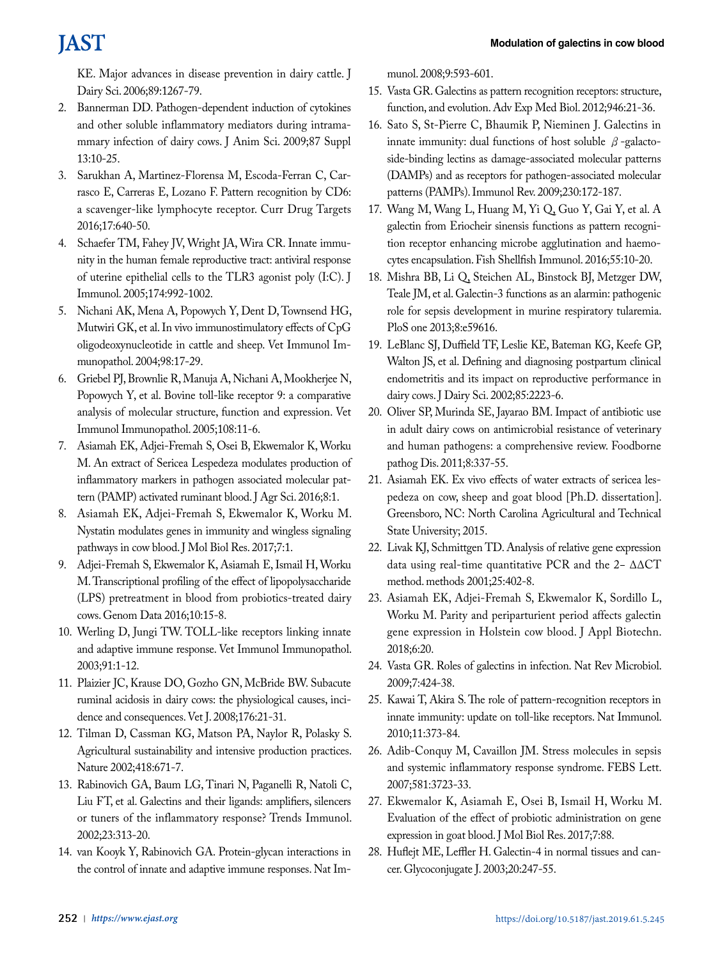KE. Major advances in disease prevention in dairy cattle. J Dairy Sci. 2006;89:1267-79.

- 2. Bannerman DD. Pathogen-dependent induction of cytokines and other soluble inflammatory mediators during intramammary infection of dairy cows. J Anim Sci. 2009;87 Suppl 13:10-25.
- 3. Sarukhan A, Martinez-Florensa M, Escoda-Ferran C, Carrasco E, Carreras E, Lozano F. Pattern recognition by CD6: a scavenger-like lymphocyte receptor. Curr Drug Targets 2016;17:640-50.
- 4. Schaefer TM, Fahey JV, Wright JA, Wira CR. Innate immunity in the human female reproductive tract: antiviral response of uterine epithelial cells to the TLR3 agonist poly (I:C). J Immunol. 2005;174:992-1002.
- 5. Nichani AK, Mena A, Popowych Y, Dent D, Townsend HG, Mutwiri GK, et al. In vivo immunostimulatory effects of CpG oligodeoxynucleotide in cattle and sheep. Vet Immunol Immunopathol. 2004;98:17-29.
- 6. Griebel PJ, Brownlie R, Manuja A, Nichani A, Mookherjee N, Popowych Y, et al. Bovine toll-like receptor 9: a comparative analysis of molecular structure, function and expression. Vet Immunol Immunopathol. 2005;108:11-6.
- 7. Asiamah EK, Adjei-Fremah S, Osei B, Ekwemalor K, Worku M. An extract of Sericea Lespedeza modulates production of inflammatory markers in pathogen associated molecular pattern (PAMP) activated ruminant blood. J Agr Sci. 2016;8:1.
- 8. Asiamah EK, Adjei-Fremah S, Ekwemalor K, Worku M. Nystatin modulates genes in immunity and wingless signaling pathways in cow blood. J Mol Biol Res. 2017;7:1.
- 9. Adjei-Fremah S, Ekwemalor K, Asiamah E, Ismail H, Worku M. Transcriptional profiling of the effect of lipopolysaccharide (LPS) pretreatment in blood from probiotics-treated dairy cows. Genom Data 2016;10:15-8.
- 10. Werling D, Jungi TW. TOLL-like receptors linking innate and adaptive immune response. Vet Immunol Immunopathol. 2003;91:1-12.
- 11. Plaizier JC, Krause DO, Gozho GN, McBride BW. Subacute ruminal acidosis in dairy cows: the physiological causes, incidence and consequences. Vet J. 2008;176:21-31.
- 12. Tilman D, Cassman KG, Matson PA, Naylor R, Polasky S. Agricultural sustainability and intensive production practices. Nature 2002;418:671-7.
- 13. Rabinovich GA, Baum LG, Tinari N, Paganelli R, Natoli C, Liu FT, et al. Galectins and their ligands: amplifiers, silencers or tuners of the inflammatory response? Trends Immunol. 2002;23:313-20.
- 14. van Kooyk Y, Rabinovich GA. Protein-glycan interactions in the control of innate and adaptive immune responses. Nat Im-

munol. 2008;9:593-601.

- 15. Vasta GR. Galectins as pattern recognition receptors: structure, function, and evolution. Adv Exp Med Biol. 2012;946:21-36.
- 16. Sato S, St‐Pierre C, Bhaumik P, Nieminen J. Galectins in innate immunity: dual functions of host soluble  $\beta$ -galactoside‐binding lectins as damage‐associated molecular patterns (DAMPs) and as receptors for pathogen‐associated molecular patterns (PAMPs). Immunol Rev. 2009;230:172-187.
- 17. Wang M, Wang L, Huang M, Yi Q, Guo Y, Gai Y, et al. A galectin from Eriocheir sinensis functions as pattern recognition receptor enhancing microbe agglutination and haemocytes encapsulation. Fish Shellfish Immunol. 2016;55:10-20.
- 18. Mishra BB, Li Q, Steichen AL, Binstock BJ, Metzger DW, Teale JM, et al. Galectin-3 functions as an alarmin: pathogenic role for sepsis development in murine respiratory tularemia. PloS one 2013;8:e59616.
- 19. LeBlanc SJ, Duffield TF, Leslie KE, Bateman KG, Keefe GP, Walton JS, et al. Defining and diagnosing postpartum clinical endometritis and its impact on reproductive performance in dairy cows. J Dairy Sci. 2002;85:2223-6.
- 20. Oliver SP, Murinda SE, Jayarao BM. Impact of antibiotic use in adult dairy cows on antimicrobial resistance of veterinary and human pathogens: a comprehensive review. Foodborne pathog Dis. 2011;8:337-55.
- 21. Asiamah EK. Ex vivo effects of water extracts of sericea lespedeza on cow, sheep and goat blood [Ph.D. dissertation]. Greensboro, NC: North Carolina Agricultural and Technical State University; 2015.
- 22. Livak KJ, Schmittgen TD. Analysis of relative gene expression data using real-time quantitative PCR and the 2− ΔΔCT method. methods 2001;25:402-8.
- 23. Asiamah EK, Adjei-Fremah S, Ekwemalor K, Sordillo L, Worku M. Parity and periparturient period affects galectin gene expression in Holstein cow blood. J Appl Biotechn. 2018;6:20.
- 24. Vasta GR. Roles of galectins in infection. Nat Rev Microbiol. 2009;7:424-38.
- 25. Kawai T, Akira S. The role of pattern-recognition receptors in innate immunity: update on toll-like receptors. Nat Immunol. 2010;11:373-84.
- 26. Adib-Conquy M, Cavaillon JM. Stress molecules in sepsis and systemic inflammatory response syndrome. FEBS Lett. 2007;581:3723-33.
- 27. Ekwemalor K, Asiamah E, Osei B, Ismail H, Worku M. Evaluation of the effect of probiotic administration on gene expression in goat blood. J Mol Biol Res. 2017;7:88.
- 28. Huflejt ME, Leffler H. Galectin-4 in normal tissues and cancer. Glycoconjugate J. 2003;20:247-55.